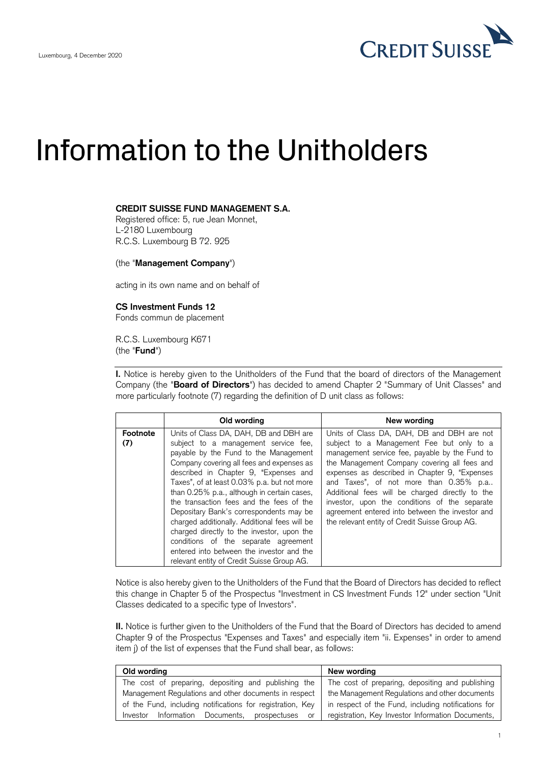

## Information to the Unitholders

## **CREDIT SUISSE FUND MANAGEMENT S.A.**

Registered office: 5, rue Jean Monnet, L-2180 Luxembourg R.C.S. Luxembourg B 72. 925

(the "**Management Company**")

acting in its own name and on behalf of

## **CS Investment Funds 12**

Fonds commun de placement

R.C.S. Luxembourg K671 (the "**Fund**")

 **I.** Notice is hereby given to the Unitholders of the Fund that the board of directors of the Management Company (the "**Board of Directors**") has decided to amend Chapter 2 "Summary of Unit Classes" and more particularly footnote (7) regarding the definition of D unit class as follows:

|                 | Old wording                                                                                                                                                                                                                                                                                                                                                                                                                                                                                                                                                                                                                          | New wording                                                                                                                                                                                                                                                                                                                                                                                                                                                                                    |
|-----------------|--------------------------------------------------------------------------------------------------------------------------------------------------------------------------------------------------------------------------------------------------------------------------------------------------------------------------------------------------------------------------------------------------------------------------------------------------------------------------------------------------------------------------------------------------------------------------------------------------------------------------------------|------------------------------------------------------------------------------------------------------------------------------------------------------------------------------------------------------------------------------------------------------------------------------------------------------------------------------------------------------------------------------------------------------------------------------------------------------------------------------------------------|
| Footnote<br>(7) | Units of Class DA, DAH, DB and DBH are<br>subject to a management service fee,<br>payable by the Fund to the Management<br>Company covering all fees and expenses as<br>described in Chapter 9, "Expenses and<br>Taxes", of at least 0.03% p.a. but not more<br>than 0.25% p.a., although in certain cases,<br>the transaction fees and the fees of the<br>Depositary Bank's correspondents may be<br>charged additionally. Additional fees will be<br>charged directly to the investor, upon the<br>conditions of the separate agreement<br>entered into between the investor and the<br>relevant entity of Credit Suisse Group AG. | Units of Class DA, DAH, DB and DBH are not<br>subject to a Management Fee but only to a<br>management service fee, payable by the Fund to<br>the Management Company covering all fees and<br>expenses as described in Chapter 9, "Expenses"<br>and Taxes", of not more than 0.35% p.a<br>Additional fees will be charged directly to the<br>investor, upon the conditions of the separate<br>agreement entered into between the investor and<br>the relevant entity of Credit Suisse Group AG. |

 Notice is also hereby given to the Unitholders of the Fund that the Board of Directors has decided to reflect this change in Chapter 5 of the Prospectus "Investment in CS Investment Funds 12" under section "Unit Classes dedicated to a specific type of Investors".

 **II.** Notice is further given to the Unitholders of the Fund that the Board of Directors has decided to amend Chapter 9 of the Prospectus "Expenses and Taxes" and especially item "ii. Expenses" in order to amend item j) of the list of expenses that the Fund shall bear, as follows:

| Old wording                                                                                                       | New wording                                       |  |
|-------------------------------------------------------------------------------------------------------------------|---------------------------------------------------|--|
| The cost of preparing, depositing and publishing the                                                              | The cost of preparing, depositing and publishing  |  |
| Management Regulations and other documents in respect                                                             | the Management Regulations and other documents    |  |
| of the Fund, including notifications for registration, Key<br>in respect of the Fund, including notifications for |                                                   |  |
| Information Documents,<br>prospectuses<br>Investor<br>or                                                          | registration, Key Investor Information Documents, |  |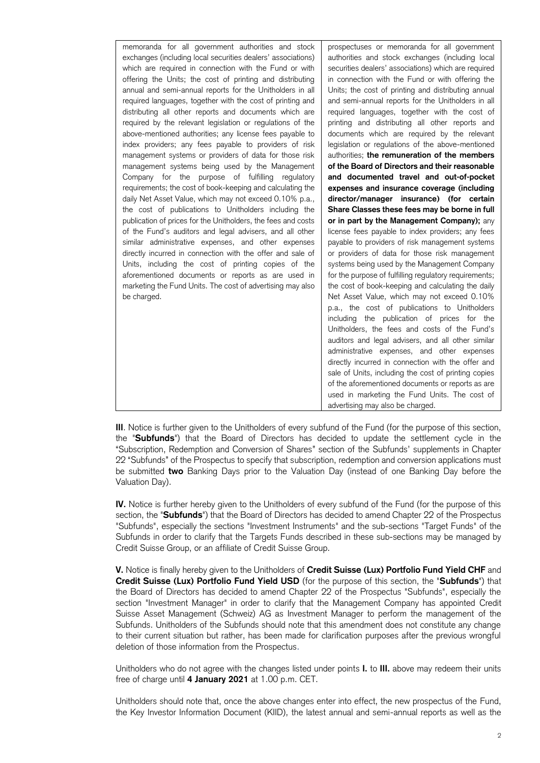the "**Subfunds**") that the Board of Directors has decided to update the settlement cycle in the "Subscription, Redemption and Conversion of Shares" section of the Subfunds' supplements in Chapter 22 "Subfunds" of the Prospectus to specify that subscription, redemption and conversion applications must be submitted **two** Banking Days prior to the Valuation Day (instead of one Banking Day before the **III**. Notice is further given to the Unitholders of every subfund of the Fund (for the purpose of this section, Valuation Day).

 **IV.** Notice is further hereby given to the Unitholders of every subfund of the Fund (for the purpose of this section, the "**Subfunds**") that the Board of Directors has decided to amend Chapter 22 of the Prospectus "Subfunds", especially the sections "Investment Instruments" and the sub-sections "Target Funds" of the Subfunds in order to clarify that the Targets Funds described in these sub-sections may be managed by Credit Suisse Group, or an affiliate of Credit Suisse Group.

 **V.** Notice is finally hereby given to the Unitholders of **Credit Suisse (Lux) Portfolio Fund Yield CHF** and  **Credit Suisse (Lux) Portfolio Fund Yield USD** (for the purpose of this section, the "**Subfunds**") that the Board of Directors has decided to amend Chapter 22 of the Prospectus "Subfunds", especially the section "Investment Manager" in order to clarify that the Management Company has appointed Credit Suisse Asset Management (Schweiz) AG as Investment Manager to perform the management of the Subfunds. Unitholders of the Subfunds should note that this amendment does not constitute any change to their current situation but rather, has been made for clarification purposes after the previous wrongful deletion of those information from the Prospectus.

 Unitholders who do not agree with the changes listed under points **I.** to **III.** above may redeem their units free of charge until **4 January 2021** at 1.00 p.m. CET.

 Unitholders should note that, once the above changes enter into effect, the new prospectus of the Fund, the Key Investor Information Document (KIID), the latest annual and semi-annual reports as well as the